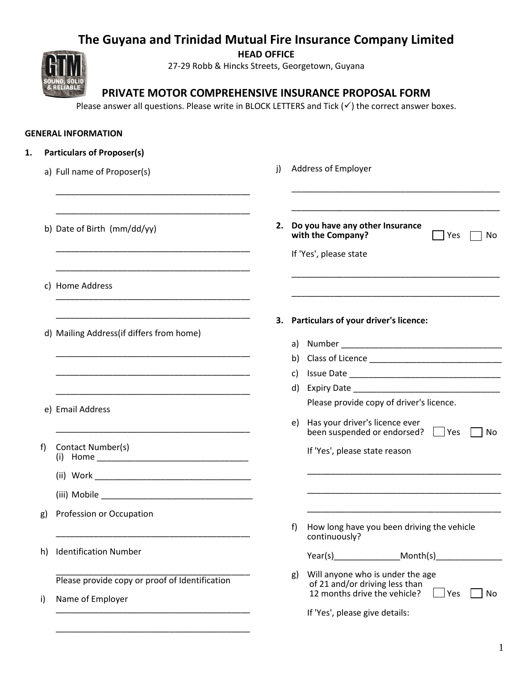# **The Guyana and Trinidad Mutual Fire Insurance Company Limited**

**HEAD OFFICE**

27-29 Robb & Hincks Streets, Georgetown, Guyana



**PRIVATE MOTOR COMPREHENSIVE INSURANCE PROPOSAL FORM**

Please answer all questions. Please write in BLOCK LETTERS and Tick  $(v)$  the correct answer boxes.

# **GENERAL INFORMATION**

|    | a) Full name of Proposer(s)                                                                                                                                                                                                          | Address of Employer<br>j)                         |                                                                                                                 |
|----|--------------------------------------------------------------------------------------------------------------------------------------------------------------------------------------------------------------------------------------|---------------------------------------------------|-----------------------------------------------------------------------------------------------------------------|
|    | b) Date of Birth (mm/dd/yy)                                                                                                                                                                                                          | 2.<br>with the Company?<br>If 'Yes', please state | Do you have any other Insurance<br>Yes<br>No                                                                    |
|    | c) Home Address                                                                                                                                                                                                                      |                                                   |                                                                                                                 |
|    | d) Mailing Address (if differs from home)                                                                                                                                                                                            | З.                                                | <b>Particulars of your driver's licence:</b>                                                                    |
|    |                                                                                                                                                                                                                                      | a)<br>b)                                          |                                                                                                                 |
|    |                                                                                                                                                                                                                                      | C)                                                |                                                                                                                 |
|    |                                                                                                                                                                                                                                      | d)                                                |                                                                                                                 |
|    | e) Email Address                                                                                                                                                                                                                     |                                                   | Please provide copy of driver's licence.                                                                        |
|    |                                                                                                                                                                                                                                      | e)                                                | Has your driver's licence ever<br>been suspended or endorsed?<br>$\Box$ Yes<br>No                               |
| f) | Contact Number(s)                                                                                                                                                                                                                    |                                                   | If 'Yes', please state reason                                                                                   |
|    |                                                                                                                                                                                                                                      |                                                   |                                                                                                                 |
|    | (iii) Mobile <b>All According to the Contract of According to the Contract of According to According the Contract of According to According the Contract of According to According the Contract of According to According the Co</b> |                                                   |                                                                                                                 |
| g) | Profession or Occupation                                                                                                                                                                                                             | f)                                                | How long have you been driving the vehicle                                                                      |
|    |                                                                                                                                                                                                                                      | continuously?                                     |                                                                                                                 |
| h) | <b>Identification Number</b>                                                                                                                                                                                                         | Year(s)                                           | Month(s)                                                                                                        |
| i) | Please provide copy or proof of Identification<br>Name of Employer                                                                                                                                                                   | g)                                                | Will anyone who is under the age<br>of 21 and/or driving less than<br>12 months drive the vehicle?<br>No<br>Yes |
|    |                                                                                                                                                                                                                                      |                                                   | If 'Yes', please give details:                                                                                  |

\_\_\_\_\_\_\_\_\_\_\_\_\_\_\_\_\_\_\_\_\_\_\_\_\_\_\_\_\_\_\_\_\_\_\_\_\_\_\_\_\_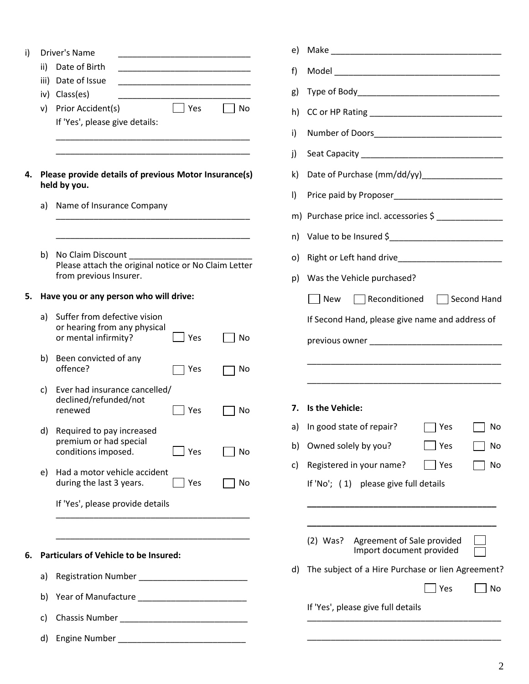| ii)  | Date of Birth                                                                        |                                                                                                              |                                                                                                                                                                                                                                                                                                                                           |
|------|--------------------------------------------------------------------------------------|--------------------------------------------------------------------------------------------------------------|-------------------------------------------------------------------------------------------------------------------------------------------------------------------------------------------------------------------------------------------------------------------------------------------------------------------------------------------|
| iii) |                                                                                      |                                                                                                              |                                                                                                                                                                                                                                                                                                                                           |
|      |                                                                                      |                                                                                                              |                                                                                                                                                                                                                                                                                                                                           |
|      |                                                                                      | Yes                                                                                                          | No                                                                                                                                                                                                                                                                                                                                        |
|      | If 'Yes', please give details:                                                       |                                                                                                              |                                                                                                                                                                                                                                                                                                                                           |
|      |                                                                                      |                                                                                                              |                                                                                                                                                                                                                                                                                                                                           |
|      |                                                                                      |                                                                                                              |                                                                                                                                                                                                                                                                                                                                           |
|      |                                                                                      |                                                                                                              |                                                                                                                                                                                                                                                                                                                                           |
| a)   |                                                                                      |                                                                                                              |                                                                                                                                                                                                                                                                                                                                           |
|      |                                                                                      |                                                                                                              |                                                                                                                                                                                                                                                                                                                                           |
|      | from previous Insurer.                                                               |                                                                                                              |                                                                                                                                                                                                                                                                                                                                           |
|      |                                                                                      |                                                                                                              |                                                                                                                                                                                                                                                                                                                                           |
| a)   | Suffer from defective vision<br>or hearing from any physical<br>or mental infirmity? | Yes                                                                                                          | No                                                                                                                                                                                                                                                                                                                                        |
| b)   | Been convicted of any<br>offence?                                                    | Yes                                                                                                          | No                                                                                                                                                                                                                                                                                                                                        |
| c)   | declined/refunded/not<br>renewed                                                     | Yes                                                                                                          | No                                                                                                                                                                                                                                                                                                                                        |
| d)   | Required to pay increased<br>premium or had special<br>conditions imposed.           | Yes                                                                                                          | No                                                                                                                                                                                                                                                                                                                                        |
| e)   | during the last 3 years.                                                             | Yes                                                                                                          | No                                                                                                                                                                                                                                                                                                                                        |
|      |                                                                                      |                                                                                                              |                                                                                                                                                                                                                                                                                                                                           |
|      |                                                                                      |                                                                                                              |                                                                                                                                                                                                                                                                                                                                           |
|      |                                                                                      |                                                                                                              |                                                                                                                                                                                                                                                                                                                                           |
| a)   |                                                                                      |                                                                                                              |                                                                                                                                                                                                                                                                                                                                           |
| b)   |                                                                                      |                                                                                                              |                                                                                                                                                                                                                                                                                                                                           |
| c)   |                                                                                      |                                                                                                              |                                                                                                                                                                                                                                                                                                                                           |
| d)   |                                                                                      |                                                                                                              |                                                                                                                                                                                                                                                                                                                                           |
|      | b)                                                                                   | Driver's Name<br>Date of Issue<br>iv) Class(es)<br>v) Prior Accident(s)<br>held by you.<br>No Claim Discount | Please provide details of previous Motor Insurance(s)<br>Name of Insurance Company<br>Please attach the original notice or No Claim Letter<br>Have you or any person who will drive:<br>Ever had insurance cancelled/<br>Had a motor vehicle accident<br>If 'Yes', please provide details<br><b>Particulars of Vehicle to be Insured:</b> |

| e) |                                                                    |  |  |  |  |  |
|----|--------------------------------------------------------------------|--|--|--|--|--|
| f) |                                                                    |  |  |  |  |  |
| g) |                                                                    |  |  |  |  |  |
| h) |                                                                    |  |  |  |  |  |
| i) |                                                                    |  |  |  |  |  |
| j) |                                                                    |  |  |  |  |  |
| k) |                                                                    |  |  |  |  |  |
| I) |                                                                    |  |  |  |  |  |
|    | m) Purchase price incl. accessories \$                             |  |  |  |  |  |
| n) | Value to be Insured \$                                             |  |  |  |  |  |
| o) |                                                                    |  |  |  |  |  |
| p) | Was the Vehicle purchased?                                         |  |  |  |  |  |
|    | Reconditioned   Second Hand<br>  New                               |  |  |  |  |  |
|    | If Second Hand, please give name and address of                    |  |  |  |  |  |
|    |                                                                    |  |  |  |  |  |
|    |                                                                    |  |  |  |  |  |
|    |                                                                    |  |  |  |  |  |
| 7. | Is the Vehicle:                                                    |  |  |  |  |  |
| a) | In good state of repair?<br>Yes<br>No                              |  |  |  |  |  |
| b) | Owned solely by you?<br>Yes<br>No                                  |  |  |  |  |  |
| c) | Registered in your name?<br>Yes<br>No                              |  |  |  |  |  |
|    | If 'No'; (1) please give full details                              |  |  |  |  |  |
|    |                                                                    |  |  |  |  |  |
|    |                                                                    |  |  |  |  |  |
|    | (2) Was?<br>Agreement of Sale provided<br>Import document provided |  |  |  |  |  |
| d) | The subject of a Hire Purchase or lien Agreement?                  |  |  |  |  |  |
|    | Yes<br>No                                                          |  |  |  |  |  |
|    | If 'Yes', please give full details                                 |  |  |  |  |  |
|    |                                                                    |  |  |  |  |  |

\_\_\_\_\_\_\_\_\_\_\_\_\_\_\_\_\_\_\_\_\_\_\_\_\_\_\_\_\_\_\_\_\_\_\_\_\_\_\_\_\_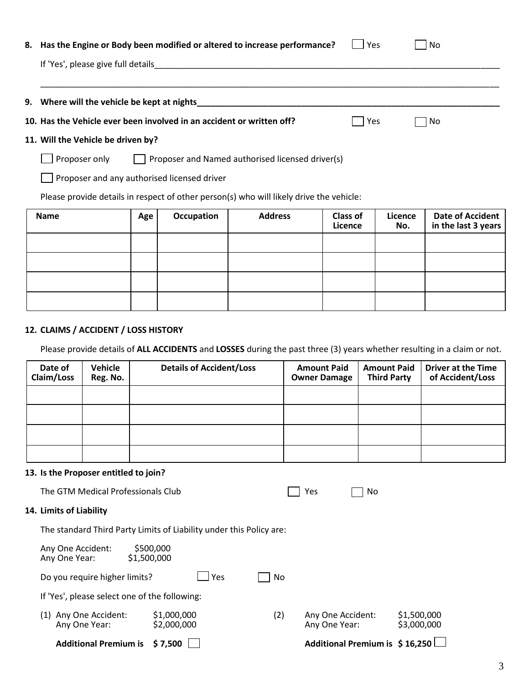| 8. Has the Engine or Body been modified or altered to increase performance?                                                                                 | l Yes | l No |  |
|-------------------------------------------------------------------------------------------------------------------------------------------------------------|-------|------|--|
| If 'Yes', please give full details<br><u> 1980 - Andrea State Barbara, ann an Cathracha ann an t-Ann an t-Ann an t-Ann an t-Ann an t-Ann an t-Ann an t-</u> |       |      |  |
|                                                                                                                                                             |       |      |  |
| 9. Where will the vehicle be kept at nights                                                                                                                 |       |      |  |
| 10. Has the Vehicle ever been involved in an accident or written off?                                                                                       | Yes   | No   |  |

# **11. Will the Vehicle be driven by?**

| $\Box$ Proposer only | Proposer and Named authorised licensed driver(s) |
|----------------------|--------------------------------------------------|
|                      |                                                  |

**Proposer and any authorised licensed driver** 

Please provide details in respect of other person(s) who will likely drive the vehicle:

| <b>Name</b> | Age | Occupation | <b>Address</b> | <b>Class of</b><br>Licence | Licence<br>No. | <b>Date of Accident</b><br>in the last 3 years |
|-------------|-----|------------|----------------|----------------------------|----------------|------------------------------------------------|
|             |     |            |                |                            |                |                                                |
|             |     |            |                |                            |                |                                                |
|             |     |            |                |                            |                |                                                |
|             |     |            |                |                            |                |                                                |

## **12. CLAIMS / ACCIDENT / LOSS HISTORY**

Please provide details of **ALL ACCIDENTS** and **LOSSES** during the past three (3) years whether resulting in a claim or not.

| Date of<br>Claim/Loss | Vehicle<br>Reg. No. | <b>Details of Accident/Loss</b> | <b>Amount Paid</b><br><b>Owner Damage</b> | <b>Amount Paid</b><br><b>Third Party</b> | <b>Driver at the Time</b><br>of Accident/Loss |
|-----------------------|---------------------|---------------------------------|-------------------------------------------|------------------------------------------|-----------------------------------------------|
|                       |                     |                                 |                                           |                                          |                                               |
|                       |                     |                                 |                                           |                                          |                                               |
|                       |                     |                                 |                                           |                                          |                                               |
|                       |                     |                                 |                                           |                                          |                                               |

#### **13. Is the Proposer entitled to join?**

| <b>Additional Premium is</b>                  | \$7,500                                                             |                                    | Additional Premium is \$16,250 |                            |
|-----------------------------------------------|---------------------------------------------------------------------|------------------------------------|--------------------------------|----------------------------|
| Any One Accident:<br>(1)<br>Any One Year:     | \$1,000,000<br>(2)<br>\$2,000,000                                   | Any One Accident:<br>Any One Year: |                                | \$1,500,000<br>\$3,000,000 |
| If 'Yes', please select one of the following: |                                                                     |                                    |                                |                            |
| Do you require higher limits?                 | Yes<br>No                                                           |                                    |                                |                            |
| Any One Accident:<br>Any One Year:            | \$500,000<br>\$1,500,000                                            |                                    |                                |                            |
|                                               | The standard Third Party Limits of Liability under this Policy are: |                                    |                                |                            |
| 14. Limits of Liability                       |                                                                     |                                    |                                |                            |
| The GTM Medical Professionals Club            |                                                                     | Yes                                | No                             |                            |
|                                               |                                                                     |                                    |                                |                            |